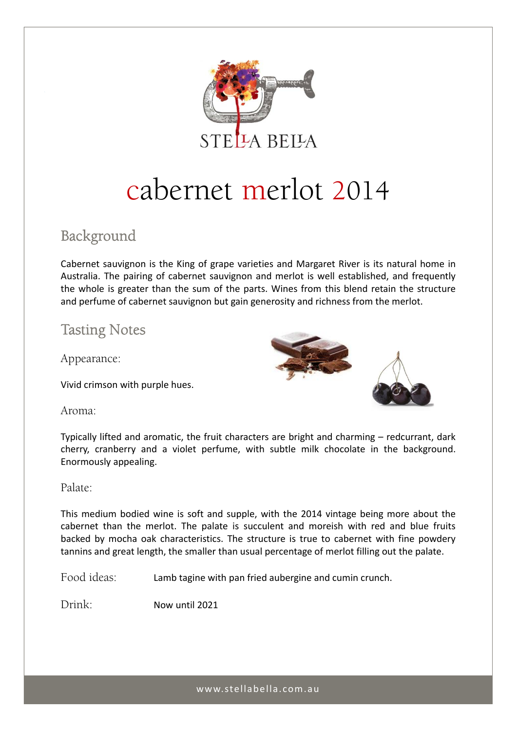

# cabernet merlot 2014

## Background

Cabernet sauvignon is the King of grape varieties and Margaret River is its natural home in Australia. The pairing of cabernet sauvignon and merlot is well established, and frequently the whole is greater than the sum of the parts. Wines from this blend retain the structure and perfume of cabernet sauvignon but gain generosity and richness from the merlot.

## Tasting Notes

Appearance:

Vivid crimson with purple hues.



Aroma:

Typically lifted and aromatic, the fruit characters are bright and charming – redcurrant, dark cherry, cranberry and a violet perfume, with subtle milk chocolate in the background. Enormously appealing.

Palate:

This medium bodied wine is soft and supple, with the 2014 vintage being more about the cabernet than the merlot. The palate is succulent and moreish with red and blue fruits backed by mocha oak characteristics. The structure is true to cabernet with fine powdery tannins and great length, the smaller than usual percentage of merlot filling out the palate.

Food ideas: Lamb tagine with pan fried aubergine and cumin crunch.

Drink: Now until 2021